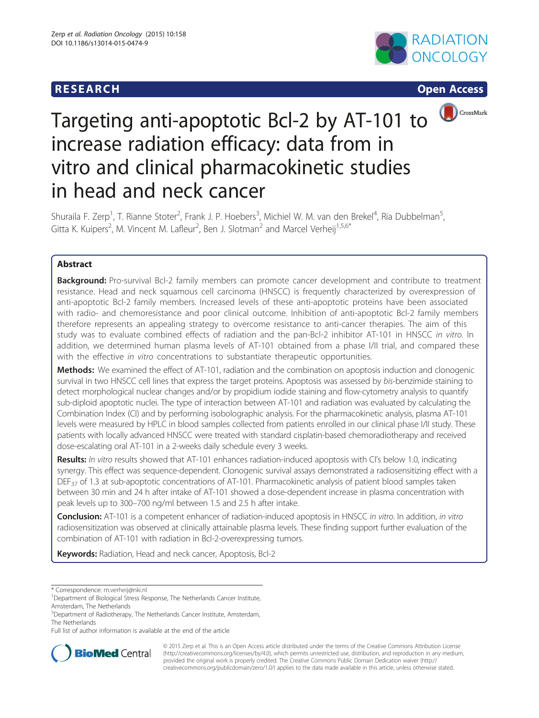## **RESEARCH RESEARCH CONSUMING ACCESS**







# Targeting anti-apoptotic Bcl-2 by AT-101 to increase radiation efficacy: data from in vitro and clinical pharmacokinetic studies in head and neck cancer

Shuraila F. Zerp<sup>1</sup>, T. Rianne Stoter<sup>2</sup>, Frank J. P. Hoebers<sup>3</sup>, Michiel W. M. van den Brekel<sup>4</sup>, Ria Dubbelman<sup>5</sup> , Gitta K. Kuipers<sup>2</sup>, M. Vincent M. Lafleur<sup>2</sup>, Ben J. Slotman<sup>2</sup> and Marcel Verheij<sup>1,5,6\*</sup>

## Abstract

Background: Pro-survival Bcl-2 family members can promote cancer development and contribute to treatment resistance. Head and neck squamous cell carcinoma (HNSCC) is frequently characterized by overexpression of anti-apoptotic Bcl-2 family members. Increased levels of these anti-apoptotic proteins have been associated with radio- and chemoresistance and poor clinical outcome. Inhibition of anti-apoptotic Bcl-2 family members therefore represents an appealing strategy to overcome resistance to anti-cancer therapies. The aim of this study was to evaluate combined effects of radiation and the pan-Bcl-2 inhibitor AT-101 in HNSCC in vitro. In addition, we determined human plasma levels of AT-101 obtained from a phase I/II trial, and compared these with the effective in vitro concentrations to substantiate therapeutic opportunities.

Methods: We examined the effect of AT-101, radiation and the combination on apoptosis induction and clonogenic survival in two HNSCC cell lines that express the target proteins. Apoptosis was assessed by bis-benzimide staining to detect morphological nuclear changes and/or by propidium iodide staining and flow-cytometry analysis to quantify sub-diploid apoptotic nuclei. The type of interaction between AT-101 and radiation was evaluated by calculating the Combination Index (CI) and by performing isobolographic analysis. For the pharmacokinetic analysis, plasma AT-101 levels were measured by HPLC in blood samples collected from patients enrolled in our clinical phase I/II study. These patients with locally advanced HNSCC were treated with standard cisplatin-based chemoradiotherapy and received dose-escalating oral AT-101 in a 2-weeks daily schedule every 3 weeks.

Results: In vitro results showed that AT-101 enhances radiation-induced apoptosis with CI's below 1.0, indicating synergy. This effect was sequence-dependent. Clonogenic survival assays demonstrated a radiosensitizing effect with a DEF<sub>37</sub> of 1.3 at sub-apoptotic concentrations of AT-101. Pharmacokinetic analysis of patient blood samples taken between 30 min and 24 h after intake of AT-101 showed a dose-dependent increase in plasma concentration with peak levels up to 300–700 ng/ml between 1.5 and 2.5 h after intake.

**Conclusion:** AT-101 is a competent enhancer of radiation-induced apoptosis in HNSCC in vitro. In addition, in vitro radiosensitization was observed at clinically attainable plasma levels. These finding support further evaluation of the combination of AT-101 with radiation in Bcl-2-overexpressing tumors.

Keywords: Radiation, Head and neck cancer, Apoptosis, Bcl-2

\* Correspondence: [m.verheij@nki.nl](mailto:m.verheij@nki.nl) <sup>1</sup>

Full list of author information is available at the end of the article



© 2015 Zerp et al. This is an Open Access article distributed under the terms of the Creative Commons Attribution License [\(http://creativecommons.org/licenses/by/4.0\)](http://creativecommons.org/licenses/by/4.0), which permits unrestricted use, distribution, and reproduction in any medium, provided the original work is properly credited. The Creative Commons Public Domain Dedication waiver [\(http://](http://creativecommons.org/publicdomain/zero/1.0/) [creativecommons.org/publicdomain/zero/1.0/\)](http://creativecommons.org/publicdomain/zero/1.0/) applies to the data made available in this article, unless otherwise stated.

<sup>&</sup>lt;sup>1</sup>Department of Biological Stress Response, The Netherlands Cancer Institute, Amsterdam, The Netherlands

<sup>5</sup> Department of Radiotherapy, The Netherlands Cancer Institute, Amsterdam, The Netherlands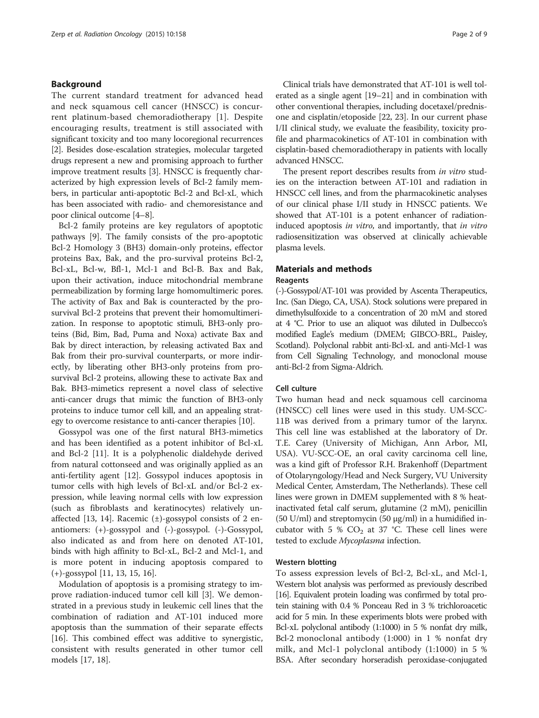## Background

The current standard treatment for advanced head and neck squamous cell cancer (HNSCC) is concurrent platinum-based chemoradiotherapy [\[1](#page-7-0)]. Despite encouraging results, treatment is still associated with significant toxicity and too many locoregional recurrences [[2\]](#page-7-0). Besides dose-escalation strategies, molecular targeted drugs represent a new and promising approach to further improve treatment results [[3](#page-7-0)]. HNSCC is frequently characterized by high expression levels of Bcl-2 family members, in particular anti-apoptotic Bcl-2 and Bcl-xL, which has been associated with radio- and chemoresistance and poor clinical outcome [[4](#page-7-0)–[8](#page-7-0)].

Bcl-2 family proteins are key regulators of apoptotic pathways [\[9\]](#page-7-0). The family consists of the pro-apoptotic Bcl-2 Homology 3 (BH3) domain-only proteins, effector proteins Bax, Bak, and the pro-survival proteins Bcl-2, Bcl-xL, Bcl-w, Bfl-1, Mcl-1 and Bcl-B. Bax and Bak, upon their activation, induce mitochondrial membrane permeabilization by forming large homomultimeric pores. The activity of Bax and Bak is counteracted by the prosurvival Bcl-2 proteins that prevent their homomultimerization. In response to apoptotic stimuli, BH3-only proteins (Bid, Bim, Bad, Puma and Noxa) activate Bax and Bak by direct interaction, by releasing activated Bax and Bak from their pro-survival counterparts, or more indirectly, by liberating other BH3-only proteins from prosurvival Bcl-2 proteins, allowing these to activate Bax and Bak. BH3-mimetics represent a novel class of selective anti-cancer drugs that mimic the function of BH3-only proteins to induce tumor cell kill, and an appealing strategy to overcome resistance to anti-cancer therapies [[10](#page-7-0)].

Gossypol was one of the first natural BH3-mimetics and has been identified as a potent inhibitor of Bcl-xL and Bcl-2 [\[11](#page-7-0)]. It is a polyphenolic dialdehyde derived from natural cottonseed and was originally applied as an anti-fertility agent [[12](#page-7-0)]. Gossypol induces apoptosis in tumor cells with high levels of Bcl-xL and/or Bcl-2 expression, while leaving normal cells with low expression (such as fibroblasts and keratinocytes) relatively un-affected [\[13](#page-7-0), [14\]](#page-7-0). Racemic  $(\pm)$ -gossypol consists of 2 enantiomers: (+)-gossypol and (-)-gossypol. (-)-Gossypol, also indicated as and from here on denoted AT-101, binds with high affinity to Bcl-xL, Bcl-2 and Mcl-1, and is more potent in inducing apoptosis compared to (+)-gossypol [\[11, 13, 15, 16\]](#page-7-0).

Modulation of apoptosis is a promising strategy to improve radiation-induced tumor cell kill [\[3](#page-7-0)]. We demonstrated in a previous study in leukemic cell lines that the combination of radiation and AT-101 induced more apoptosis than the summation of their separate effects [[16\]](#page-7-0). This combined effect was additive to synergistic, consistent with results generated in other tumor cell models [\[17, 18\]](#page-7-0).

Clinical trials have demonstrated that AT-101 is well tolerated as a single agent [\[19](#page-7-0)–[21](#page-7-0)] and in combination with other conventional therapies, including docetaxel/prednisone and cisplatin/etoposide [[22](#page-7-0), [23](#page-7-0)]. In our current phase I/II clinical study, we evaluate the feasibility, toxicity profile and pharmacokinetics of AT-101 in combination with cisplatin-based chemoradiotherapy in patients with locally advanced HNSCC.

The present report describes results from in vitro studies on the interaction between AT-101 and radiation in HNSCC cell lines, and from the pharmacokinetic analyses of our clinical phase I/II study in HNSCC patients. We showed that AT-101 is a potent enhancer of radiationinduced apoptosis in vitro, and importantly, that in vitro radiosensitization was observed at clinically achievable plasma levels.

# Materials and methods

## Reagents

(-)-Gossypol/AT-101 was provided by Ascenta Therapeutics, Inc. (San Diego, CA, USA). Stock solutions were prepared in dimethylsulfoxide to a concentration of 20 mM and stored at 4 °C. Prior to use an aliquot was diluted in Dulbecco's modified Eagle's medium (DMEM; GIBCO-BRL, Paisley, Scotland). Polyclonal rabbit anti-Bcl-xL and anti-Mcl-1 was from Cell Signaling Technology, and monoclonal mouse anti-Bcl-2 from Sigma-Aldrich.

## Cell culture

Two human head and neck squamous cell carcinoma (HNSCC) cell lines were used in this study. UM-SCC-11B was derived from a primary tumor of the larynx. This cell line was established at the laboratory of Dr. T.E. Carey (University of Michigan, Ann Arbor, MI, USA). VU-SCC-OE, an oral cavity carcinoma cell line, was a kind gift of Professor R.H. Brakenhoff (Department of Otolaryngology/Head and Neck Surgery, VU University Medical Center, Amsterdam, The Netherlands). These cell lines were grown in DMEM supplemented with 8 % heatinactivated fetal calf serum, glutamine (2 mM), penicillin  $(50 \text{ U/ml})$  and streptomycin  $(50 \text{ µg/ml})$  in a humidified incubator with 5 %  $CO<sub>2</sub>$  at 37 °C. These cell lines were tested to exclude Mycoplasma infection.

## Western blotting

To assess expression levels of Bcl-2, Bcl-xL, and Mcl-1, Western blot analysis was performed as previously described [[16\]](#page-7-0). Equivalent protein loading was confirmed by total protein staining with 0.4 % Ponceau Red in 3 % trichloroacetic acid for 5 min. In these experiments blots were probed with Bcl-xL polyclonal antibody (1:1000) in 5 % nonfat dry milk, Bcl-2 monoclonal antibody (1:000) in 1 % nonfat dry milk, and Mcl-1 polyclonal antibody (1:1000) in 5 % BSA. After secondary horseradish peroxidase-conjugated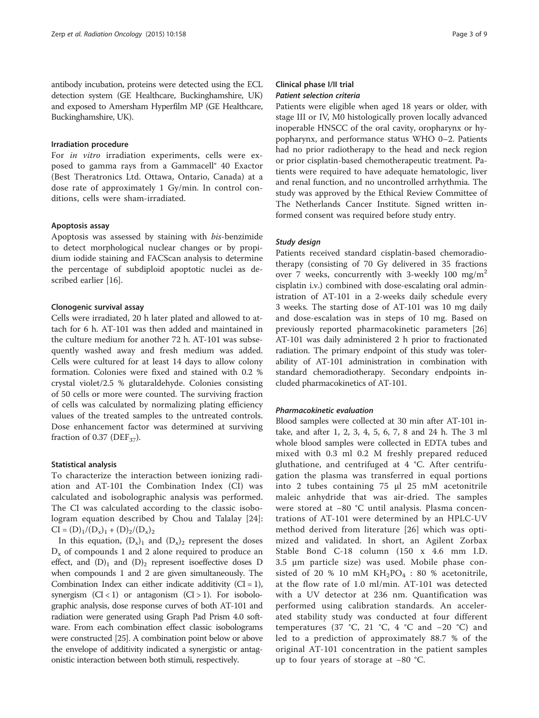antibody incubation, proteins were detected using the ECL detection system (GE Healthcare, Buckinghamshire, UK) and exposed to Amersham Hyperfilm MP (GE Healthcare, Buckinghamshire, UK).

#### Irradiation procedure

For in vitro irradiation experiments, cells were exposed to gamma rays from a Gammacell® 40 Exactor (Best Theratronics Ltd. Ottawa, Ontario, Canada) at a dose rate of approximately 1 Gy/min. In control conditions, cells were sham-irradiated.

## Apoptosis assay

Apoptosis was assessed by staining with bis-benzimide to detect morphological nuclear changes or by propidium iodide staining and FACScan analysis to determine the percentage of subdiploid apoptotic nuclei as described earlier [[16](#page-7-0)].

#### Clonogenic survival assay

Cells were irradiated, 20 h later plated and allowed to attach for 6 h. AT-101 was then added and maintained in the culture medium for another 72 h. AT-101 was subsequently washed away and fresh medium was added. Cells were cultured for at least 14 days to allow colony formation. Colonies were fixed and stained with 0.2 % crystal violet/2.5 % glutaraldehyde. Colonies consisting of 50 cells or more were counted. The surviving fraction of cells was calculated by normalizing plating efficiency values of the treated samples to the untreated controls. Dose enhancement factor was determined at surviving fraction of 0.37 ( $DEF_{37}$ ).

#### Statistical analysis

To characterize the interaction between ionizing radiation and AT-101 the Combination Index (CI) was calculated and isobolographic analysis was performed. The CI was calculated according to the classic isobologram equation described by Chou and Talalay [\[24](#page-7-0)]:  $CI = (D)<sub>1</sub>/(D<sub>x</sub>)<sub>1</sub> + (D)<sub>2</sub>/(D<sub>x</sub>)<sub>2</sub>$ 

In this equation,  $(D_x)_1$  and  $(D_x)_2$  represent the doses  $D_x$  of compounds 1 and 2 alone required to produce an effect, and  $(D)_1$  and  $(D)_2$  represent isoeffective doses D when compounds 1 and 2 are given simultaneously. The Combination Index can either indicate additivity  $(CI = 1)$ , synergism  $(Cl < 1)$  or antagonism  $(Cl > 1)$ . For isobolographic analysis, dose response curves of both AT-101 and radiation were generated using Graph Pad Prism 4.0 software. From each combination effect classic isobolograms were constructed [[25](#page-7-0)]. A combination point below or above the envelope of additivity indicated a synergistic or antagonistic interaction between both stimuli, respectively.

## Clinical phase I/II trial Patient selection criteria

Patients were eligible when aged 18 years or older, with stage III or IV, M0 histologically proven locally advanced inoperable HNSCC of the oral cavity, oropharynx or hypopharynx, and performance status WHO 0–2. Patients had no prior radiotherapy to the head and neck region or prior cisplatin-based chemotherapeutic treatment. Patients were required to have adequate hematologic, liver and renal function, and no uncontrolled arrhythmia. The study was approved by the Ethical Review Committee of The Netherlands Cancer Institute. Signed written informed consent was required before study entry.

#### Study design

Patients received standard cisplatin-based chemoradiotherapy (consisting of 70 Gy delivered in 35 fractions over 7 weeks, concurrently with 3-weekly 100  $mg/m<sup>2</sup>$ cisplatin i.v.) combined with dose-escalating oral administration of AT-101 in a 2-weeks daily schedule every 3 weeks. The starting dose of AT-101 was 10 mg daily and dose-escalation was in steps of 10 mg. Based on previously reported pharmacokinetic parameters [\[26](#page-7-0)] AT-101 was daily administered 2 h prior to fractionated radiation. The primary endpoint of this study was tolerability of AT-101 administration in combination with standard chemoradiotherapy. Secondary endpoints included pharmacokinetics of AT-101.

## Pharmacokinetic evaluation

Blood samples were collected at 30 min after AT-101 intake, and after 1, 2, 3, 4, 5, 6, 7, 8 and 24 h. The 3 ml whole blood samples were collected in EDTA tubes and mixed with 0.3 ml 0.2 M freshly prepared reduced gluthatione, and centrifuged at 4 °C. After centrifugation the plasma was transferred in equal portions into 2 tubes containing 75 μl 25 mM acetonitrile maleic anhydride that was air-dried. The samples were stored at −80 °C until analysis. Plasma concentrations of AT-101 were determined by an HPLC-UV method derived from literature [[26](#page-7-0)] which was optimized and validated. In short, an Agilent Zorbax Stable Bond C-18 column (150 x 4.6 mm I.D. 3.5 μm particle size) was used. Mobile phase consisted of 20 % 10 mM  $KH_2PO_4$  : 80 % acetonitrile, at the flow rate of 1.0 ml/min. AT-101 was detected with a UV detector at 236 nm. Quantification was performed using calibration standards. An accelerated stability study was conducted at four different temperatures (37 °C, 21 °C, 4 °C and −20 °C) and led to a prediction of approximately 88.7 % of the original AT-101 concentration in the patient samples up to four years of storage at −80 °C.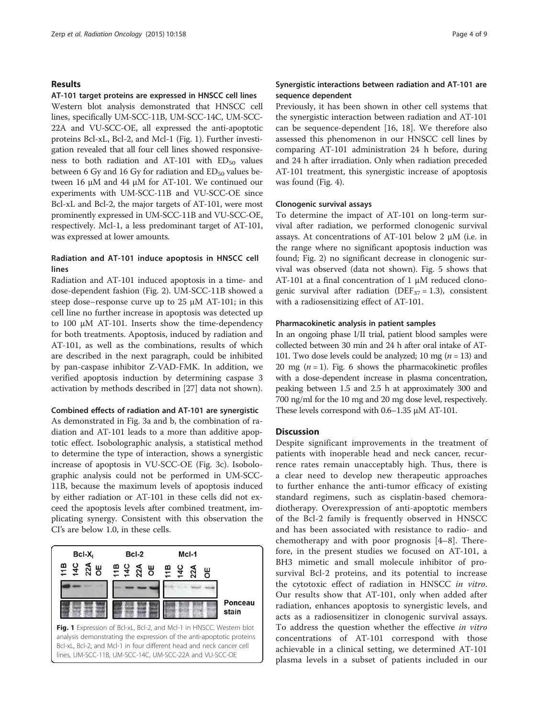## Results

### AT-101 target proteins are expressed in HNSCC cell lines

Western blot analysis demonstrated that HNSCC cell lines, specifically UM-SCC-11B, UM-SCC-14C, UM-SCC-22A and VU-SCC-OE, all expressed the anti-apoptotic proteins Bcl-xL, Bcl-2, and Mcl-1 (Fig. 1). Further investigation revealed that all four cell lines showed responsiveness to both radiation and AT-101 with  $ED_{50}$  values between 6 Gy and 16 Gy for radiation and  $ED_{50}$  values between 16 μM and 44 μM for AT-101. We continued our experiments with UM-SCC-11B and VU-SCC-OE since Bcl-xL and Bcl-2, the major targets of AT-101, were most prominently expressed in UM-SCC-11B and VU-SCC-OE, respectively. Mcl-1, a less predominant target of AT-101, was expressed at lower amounts.

## Radiation and AT-101 induce apoptosis in HNSCC cell lines

Radiation and AT-101 induced apoptosis in a time- and dose-dependent fashion (Fig. [2\)](#page-4-0). UM-SCC-11B showed a steep dose–response curve up to 25 μM AT-101; in this cell line no further increase in apoptosis was detected up to 100 μM AT-101. Inserts show the time-dependency for both treatments. Apoptosis, induced by radiation and AT-101, as well as the combinations, results of which are described in the next paragraph, could be inhibited by pan-caspase inhibitor Z-VAD-FMK. In addition, we verified apoptosis induction by determining caspase 3 activation by methods described in [[27](#page-7-0)] data not shown).

#### Combined effects of radiation and AT-101 are synergistic

As demonstrated in Fig. [3a and b,](#page-5-0) the combination of radiation and AT-101 leads to a more than additive apoptotic effect. Isobolographic analysis, a statistical method to determine the type of interaction, shows a synergistic increase of apoptosis in VU-SCC-OE (Fig. [3c\)](#page-5-0). Isobolographic analysis could not be performed in UM-SCC-11B, because the maximum levels of apoptosis induced by either radiation or AT-101 in these cells did not exceed the apoptosis levels after combined treatment, implicating synergy. Consistent with this observation the CI's are below 1.0, in these cells.



## Synergistic interactions between radiation and AT-101 are sequence dependent

Previously, it has been shown in other cell systems that the synergistic interaction between radiation and AT-101 can be sequence-dependent [[16, 18\]](#page-7-0). We therefore also assessed this phenomenon in our HNSCC cell lines by comparing AT-101 administration 24 h before, during and 24 h after irradiation. Only when radiation preceded AT-101 treatment, this synergistic increase of apoptosis was found (Fig. [4](#page-5-0)).

#### Clonogenic survival assays

To determine the impact of AT-101 on long-term survival after radiation, we performed clonogenic survival assays. At concentrations of AT-101 below 2 μM (i.e. in the range where no significant apoptosis induction was found; Fig. [2\)](#page-4-0) no significant decrease in clonogenic survival was observed (data not shown). Fig. [5](#page-5-0) shows that AT-101 at a final concentration of 1 μM reduced clonogenic survival after radiation (DEF<sub>37</sub> = 1.3), consistent with a radiosensitizing effect of AT-101.

## Pharmacokinetic analysis in patient samples

In an ongoing phase I/II trial, patient blood samples were collected between 30 min and 24 h after oral intake of AT-101. Two dose levels could be analyzed; 10 mg ( $n = 13$ ) and 20 mg ( $n = 1$ ). Fig. [6](#page-6-0) shows the pharmacokinetic profiles with a dose-dependent increase in plasma concentration, peaking between 1.5 and 2.5 h at approximately 300 and 700 ng/ml for the 10 mg and 20 mg dose level, respectively. These levels correspond with 0.6–1.35 μM AT-101.

## **Discussion**

Despite significant improvements in the treatment of patients with inoperable head and neck cancer, recurrence rates remain unacceptably high. Thus, there is a clear need to develop new therapeutic approaches to further enhance the anti-tumor efficacy of existing standard regimens, such as cisplatin-based chemoradiotherapy. Overexpression of anti-apoptotic members of the Bcl-2 family is frequently observed in HNSCC and has been associated with resistance to radio- and chemotherapy and with poor prognosis [[4](#page-7-0)–[8](#page-7-0)]. Therefore, in the present studies we focused on AT-101, a BH3 mimetic and small molecule inhibitor of prosurvival Bcl-2 proteins, and its potential to increase the cytotoxic effect of radiation in HNSCC in vitro. Our results show that AT-101, only when added after radiation, enhances apoptosis to synergistic levels, and acts as a radiosensitizer in clonogenic survival assays. To address the question whether the effective in vitro concentrations of AT-101 correspond with those achievable in a clinical setting, we determined AT-101 plasma levels in a subset of patients included in our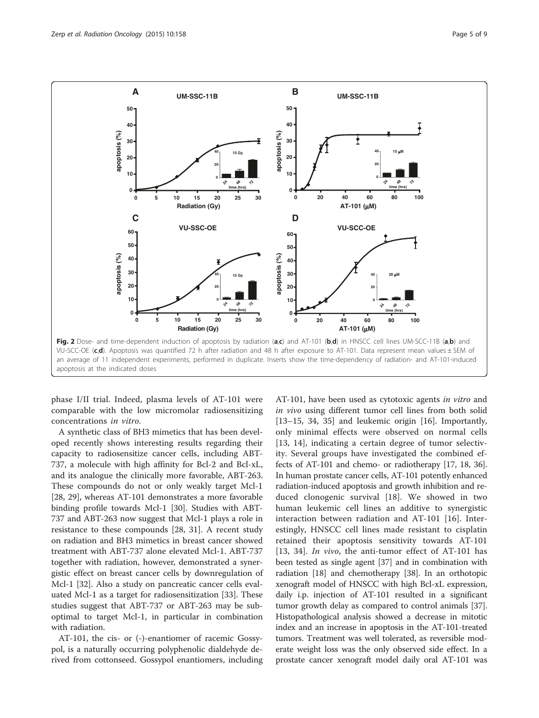<span id="page-4-0"></span>

phase I/II trial. Indeed, plasma levels of AT-101 were comparable with the low micromolar radiosensitizing concentrations in vitro.

A synthetic class of BH3 mimetics that has been developed recently shows interesting results regarding their capacity to radiosensitize cancer cells, including ABT-737, a molecule with high affinity for Bcl-2 and Bcl-xL, and its analogue the clinically more favorable, ABT-263. These compounds do not or only weakly target Mcl-1 [[28, 29\]](#page-7-0), whereas AT-101 demonstrates a more favorable binding profile towards Mcl-1 [\[30\]](#page-7-0). Studies with ABT-737 and ABT-263 now suggest that Mcl-1 plays a role in resistance to these compounds [[28, 31\]](#page-7-0). A recent study on radiation and BH3 mimetics in breast cancer showed treatment with ABT-737 alone elevated Mcl-1. ABT-737 together with radiation, however, demonstrated a synergistic effect on breast cancer cells by downregulation of Mcl-1 [[32\]](#page-7-0). Also a study on pancreatic cancer cells evaluated Mcl-1 as a target for radiosensitization [[33\]](#page-7-0). These studies suggest that ABT-737 or ABT-263 may be suboptimal to target Mcl-1, in particular in combination with radiation.

AT-101, the cis- or (-)-enantiomer of racemic Gossypol, is a naturally occurring polyphenolic dialdehyde derived from cottonseed. Gossypol enantiomers, including AT-101, have been used as cytotoxic agents in vitro and in vivo using different tumor cell lines from both solid [[13](#page-7-0)–[15](#page-7-0), [34](#page-7-0), [35\]](#page-7-0) and leukemic origin [[16\]](#page-7-0). Importantly, only minimal effects were observed on normal cells [[13, 14](#page-7-0)], indicating a certain degree of tumor selectivity. Several groups have investigated the combined effects of AT-101 and chemo- or radiotherapy [\[17, 18](#page-7-0), [36](#page-7-0)]. In human prostate cancer cells, AT-101 potently enhanced radiation-induced apoptosis and growth inhibition and reduced clonogenic survival [[18\]](#page-7-0). We showed in two human leukemic cell lines an additive to synergistic interaction between radiation and AT-101 [[16\]](#page-7-0). Interestingly, HNSCC cell lines made resistant to cisplatin retained their apoptosis sensitivity towards AT-101 [[13, 34\]](#page-7-0). In vivo, the anti-tumor effect of AT-101 has been tested as single agent [[37\]](#page-7-0) and in combination with radiation [\[18\]](#page-7-0) and chemotherapy [[38](#page-7-0)]. In an orthotopic xenograft model of HNSCC with high Bcl-xL expression, daily i.p. injection of AT-101 resulted in a significant tumor growth delay as compared to control animals [[37](#page-7-0)]. Histopathological analysis showed a decrease in mitotic index and an increase in apoptosis in the AT-101-treated tumors. Treatment was well tolerated, as reversible moderate weight loss was the only observed side effect. In a prostate cancer xenograft model daily oral AT-101 was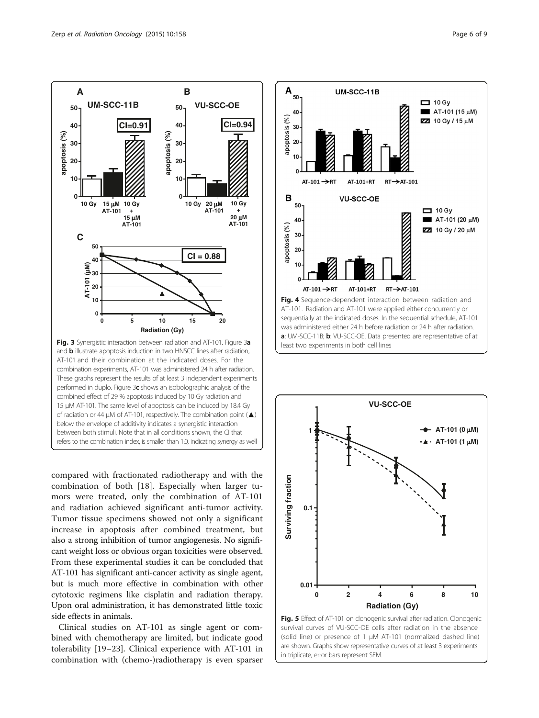<span id="page-5-0"></span>

compared with fractionated radiotherapy and with the combination of both [\[18](#page-7-0)]. Especially when larger tumors were treated, only the combination of AT-101 and radiation achieved significant anti-tumor activity. Tumor tissue specimens showed not only a significant increase in apoptosis after combined treatment, but also a strong inhibition of tumor angiogenesis. No significant weight loss or obvious organ toxicities were observed. From these experimental studies it can be concluded that AT-101 has significant anti-cancer activity as single agent, but is much more effective in combination with other cytotoxic regimens like cisplatin and radiation therapy. Upon oral administration, it has demonstrated little toxic side effects in animals.

Clinical studies on AT-101 as single agent or combined with chemotherapy are limited, but indicate good tolerability [[19](#page-7-0)–[23](#page-7-0)]. Clinical experience with AT-101 in combination with (chemo-)radiotherapy is even sparser





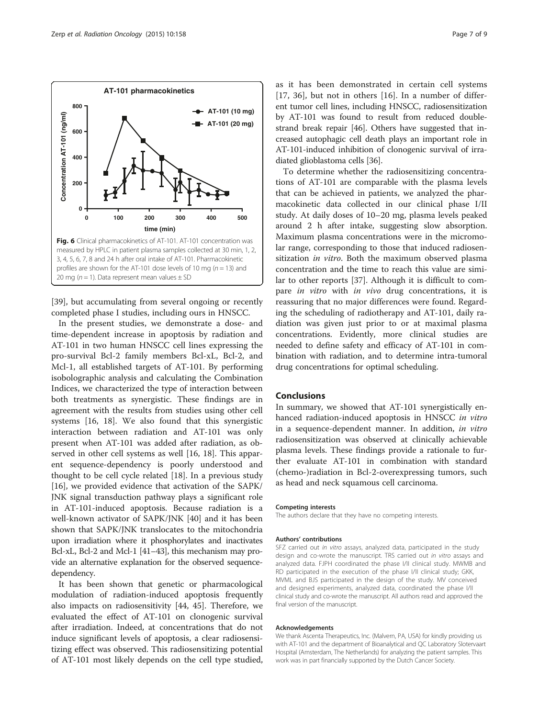<span id="page-6-0"></span>

[[39\]](#page-8-0), but accumulating from several ongoing or recently completed phase I studies, including ours in HNSCC.

In the present studies, we demonstrate a dose- and time-dependent increase in apoptosis by radiation and AT-101 in two human HNSCC cell lines expressing the pro-survival Bcl-2 family members Bcl-xL, Bcl-2, and Mcl-1, all established targets of AT-101. By performing isobolographic analysis and calculating the Combination Indices, we characterized the type of interaction between both treatments as synergistic. These findings are in agreement with the results from studies using other cell systems [[16, 18](#page-7-0)]. We also found that this synergistic interaction between radiation and AT-101 was only present when AT-101 was added after radiation, as observed in other cell systems as well [\[16, 18](#page-7-0)]. This apparent sequence-dependency is poorly understood and thought to be cell cycle related [\[18\]](#page-7-0). In a previous study [[16\]](#page-7-0), we provided evidence that activation of the SAPK/ JNK signal transduction pathway plays a significant role in AT-101-induced apoptosis. Because radiation is a well-known activator of SAPK/JNK [[40\]](#page-8-0) and it has been shown that SAPK/JNK translocates to the mitochondria upon irradiation where it phosphorylates and inactivates Bcl-xL, Bcl-2 and Mcl-1 [\[41](#page-8-0)–[43\]](#page-8-0), this mechanism may provide an alternative explanation for the observed sequencedependency.

It has been shown that genetic or pharmacological modulation of radiation-induced apoptosis frequently also impacts on radiosensitivity [[44, 45\]](#page-8-0). Therefore, we evaluated the effect of AT-101 on clonogenic survival after irradiation. Indeed, at concentrations that do not induce significant levels of apoptosis, a clear radiosensitizing effect was observed. This radiosensitizing potential of AT-101 most likely depends on the cell type studied, as it has been demonstrated in certain cell systems [[17, 36](#page-7-0)], but not in others [[16](#page-7-0)]. In a number of different tumor cell lines, including HNSCC, radiosensitization by AT-101 was found to result from reduced doublestrand break repair [\[46\]](#page-8-0). Others have suggested that increased autophagic cell death plays an important role in AT-101-induced inhibition of clonogenic survival of irradiated glioblastoma cells [\[36\]](#page-7-0).

To determine whether the radiosensitizing concentrations of AT-101 are comparable with the plasma levels that can be achieved in patients, we analyzed the pharmacokinetic data collected in our clinical phase I/II study. At daily doses of 10–20 mg, plasma levels peaked around 2 h after intake, suggesting slow absorption. Maximum plasma concentrations were in the micromolar range, corresponding to those that induced radiosensitization *in vitro*. Both the maximum observed plasma concentration and the time to reach this value are similar to other reports [\[37](#page-7-0)]. Although it is difficult to compare in vitro with in vivo drug concentrations, it is reassuring that no major differences were found. Regarding the scheduling of radiotherapy and AT-101, daily radiation was given just prior to or at maximal plasma concentrations. Evidently, more clinical studies are needed to define safety and efficacy of AT-101 in combination with radiation, and to determine intra-tumoral drug concentrations for optimal scheduling.

## Conclusions

In summary, we showed that AT-101 synergistically enhanced radiation-induced apoptosis in HNSCC in vitro in a sequence-dependent manner. In addition, in vitro radiosensitization was observed at clinically achievable plasma levels. These findings provide a rationale to further evaluate AT-101 in combination with standard (chemo-)radiation in Bcl-2-overexpressing tumors, such as head and neck squamous cell carcinoma.

#### Competing interests

The authors declare that they have no competing interests.

#### Authors' contributions

SFZ carried out in vitro assays, analyzed data, participated in the study design and co-wrote the manuscript. TRS carried out in vitro assays and analyzed data. FJPH coordinated the phase I/II clinical study. MWMB and RD participated in the execution of the phase I/II clinical study; GKK, MVML and BJS participated in the design of the study. MV conceived and designed experiments, analyzed data, coordinated the phase I/II clinical study and co-wrote the manuscript. All authors read and approved the final version of the manuscript.

#### Acknowledgements

We thank Ascenta Therapeutics, Inc. (Malvern, PA, USA) for kindly providing us with AT-101 and the department of Bioanalytical and QC Laboratory Slotervaart Hospital (Amsterdam, The Netherlands) for analyzing the patient samples. This work was in part financially supported by the Dutch Cancer Society.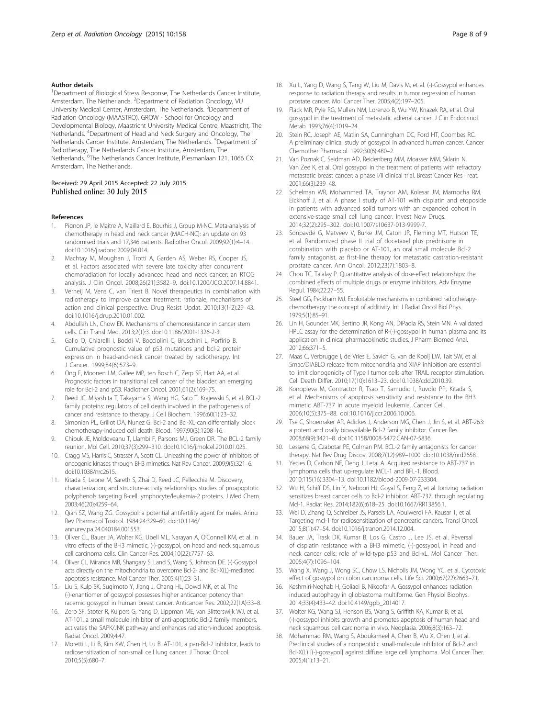#### <span id="page-7-0"></span>Author details

<sup>1</sup>Department of Biological Stress Response, The Netherlands Cancer Institute, Amsterdam, The Netherlands. <sup>2</sup>Department of Radiation Oncology, VU University Medical Center, Amsterdam, The Netherlands. <sup>3</sup>Department of Radiation Oncology (MAASTRO), GROW - School for Oncology and Developmental Biology, Maastricht University Medical Centre, Maastricht, The Netherlands. <sup>4</sup>Department of Head and Neck Surgery and Oncology, The Netherlands Cancer Institute, Amsterdam, The Netherlands. <sup>5</sup>Department of Radiotherapy, The Netherlands Cancer Institute, Amsterdam, The Netherlands. <sup>6</sup>The Netherlands Cancer Institute, Plesmanlaan 121, 1066 CX, Amsterdam, The Netherlands.

#### Received: 29 April 2015 Accepted: 22 July 2015 Published online: 30 July 2015

#### References

- 1. Pignon JP, le Maitre A, Maillard E, Bourhis J, Group M-NC. Meta-analysis of chemotherapy in head and neck cancer (MACH-NC): an update on 93 randomised trials and 17,346 patients. Radiother Oncol. 2009;92(1):4–14. doi[:10.1016/j.radonc.2009.04.014.](http://dx.doi.org/10.1016/j.radonc.2009.04.014)
- 2. Machtay M, Moughan J, Trotti A, Garden AS, Weber RS, Cooper JS, et al. Factors associated with severe late toxicity after concurrent chemoradiation for locally advanced head and neck cancer: an RTOG analysis. J Clin Oncol. 2008;26(21):3582–9. doi[:10.1200/JCO.2007.14.8841](http://dx.doi.org/10.1200/JCO.2007.14.8841).
- 3. Verheij M, Vens C, van Triest B. Novel therapeutics in combination with radiotherapy to improve cancer treatment: rationale, mechanisms of action and clinical perspective. Drug Resist Updat. 2010;13(1-2):29–43. doi[:10.1016/j.drup.2010.01.002](http://dx.doi.org/10.1016/j.drup.2010.01.002).
- 4. Abdullah LN, Chow EK. Mechanisms of chemoresistance in cancer stem cells. Clin Transl Med. 2013;2(1):3. doi[:10.1186/2001-1326-2-3.](http://dx.doi.org/10.1186/2001-1326-2-3)
- 5. Gallo O, Chiarelli I, Boddi V, Bocciolini C, Bruschini L, Porfirio B. Cumulative prognostic value of p53 mutations and bcl-2 protein expression in head-and-neck cancer treated by radiotherapy. Int J Cancer. 1999;84(6):573–9.
- 6. Ong F, Moonen LM, Gallee MP, ten Bosch C, Zerp SF, Hart AA, et al. Prognostic factors in transitional cell cancer of the bladder: an emerging role for Bcl-2 and p53. Radiother Oncol. 2001;61(2):169–75.
- 7. Reed JC, Miyashita T, Takayama S, Wang HG, Sato T, Krajewski S, et al. BCL-2 family proteins: regulators of cell death involved in the pathogenesis of cancer and resistance to therapy. J Cell Biochem. 1996;60(1):23–32.
- 8. Simonian PL, Grillot DA, Nunez G. Bcl-2 and Bcl-XL can differentially block chemotherapy-induced cell death. Blood. 1997;90(3):1208–16.
- 9. Chipuk JE, Moldoveanu T, Llambi F, Parsons MJ, Green DR. The BCL-2 family reunion. Mol Cell. 2010;37(3):299–310. doi[:10.1016/j.molcel.2010.01.025](http://dx.doi.org/10.1016/j.molcel.2010.01.025).
- 10. Cragg MS, Harris C, Strasser A, Scott CL. Unleashing the power of inhibitors of oncogenic kinases through BH3 mimetics. Nat Rev Cancer. 2009;9(5):321–6. doi:[10.1038/nrc2615](http://dx.doi.org/10.1038/nrc2615).
- 11. Kitada S, Leone M, Sareth S, Zhai D, Reed JC, Pellecchia M. Discovery, characterization, and structure-activity relationships studies of proapoptotic polyphenols targeting B-cell lymphocyte/leukemia-2 proteins. J Med Chem. 2003;46(20):4259–64.
- 12. Qian SZ, Wang ZG. Gossypol: a potential antifertility agent for males. Annu Rev Pharmacol Toxicol. 1984;24:329–60. doi[:10.1146/](http://dx.doi.org/10.1146/annurev.pa.24.040184.001553) [annurev.pa.24.040184.001553](http://dx.doi.org/10.1146/annurev.pa.24.040184.001553).
- 13. Oliver CL, Bauer JA, Wolter KG, Ubell ML, Narayan A, O'Connell KM, et al. In vitro effects of the BH3 mimetic, (-)-gossypol, on head and neck squamous cell carcinoma cells. Clin Cancer Res. 2004;10(22):7757–63.
- 14. Oliver CL, Miranda MB, Shangary S, Land S, Wang S, Johnson DE. (-)-Gossypol acts directly on the mitochondria to overcome Bcl-2- and Bcl-X(L)-mediated apoptosis resistance. Mol Cancer Ther. 2005;4(1):23–31.
- 15. Liu S, Kulp SK, Sugimoto Y, Jiang J, Chang HL, Dowd MK, et al. The (-)-enantiomer of gossypol possesses higher anticancer potency than racemic gossypol in human breast cancer. Anticancer Res. 2002;22(1A):33–8.
- 16. Zerp SF, Stoter R, Kuipers G, Yang D, Lippman ME, van Blitterswijk WJ, et al. AT-101, a small molecule inhibitor of anti-apoptotic Bcl-2 family members, activates the SAPK/JNK pathway and enhances radiation-induced apoptosis. Radiat Oncol. 2009;4:47.
- 17. Moretti L, Li B, Kim KW, Chen H, Lu B. AT-101, a pan-Bcl-2 inhibitor, leads to radiosensitization of non-small cell lung cancer. J Thorac Oncol. 2010;5(5):680–7.
- 18. Xu L, Yang D, Wang S, Tang W, Liu M, Davis M, et al. (-)-Gossypol enhances response to radiation therapy and results in tumor regression of human prostate cancer. Mol Cancer Ther. 2005;4(2):197–205.
- 19. Flack MR, Pyle RG, Mullen NM, Lorenzo B, Wu YW, Knazek RA, et al. Oral gossypol in the treatment of metastatic adrenal cancer. J Clin Endocrinol Metab. 1993;76(4):1019–24.
- 20. Stein RC, Joseph AE, Matlin SA, Cunningham DC, Ford HT, Coombes RC. A preliminary clinical study of gossypol in advanced human cancer. Cancer Chemother Pharmacol. 1992;30(6):480–2.
- 21. Van Poznak C, Seidman AD, Reidenberg MM, Moasser MM, Sklarin N, Van Zee K, et al. Oral gossypol in the treatment of patients with refractory metastatic breast cancer: a phase I/II clinical trial. Breast Cancer Res Treat. 2001;66(3):239–48.
- 22. Schelman WR, Mohammed TA, Traynor AM, Kolesar JM, Marnocha RM, Eickhoff J, et al. A phase I study of AT-101 with cisplatin and etoposide in patients with advanced solid tumors with an expanded cohort in extensive-stage small cell lung cancer. Invest New Drugs. 2014;32(2):295–302. doi:[10.1007/s10637-013-9999-7.](http://dx.doi.org/10.1007/s10637-013-9999-7)
- 23. Sonpavde G, Matveev V, Burke JM, Caton JR, Fleming MT, Hutson TE, et al. Randomized phase II trial of docetaxel plus prednisone in combination with placebo or AT-101, an oral small molecule Bcl-2 family antagonist, as first-line therapy for metastatic castration-resistant prostate cancer. Ann Oncol. 2012;23(7):1803–8.
- 24. Chou TC, Talalay P. Quantitative analysis of dose-effect relationships: the combined effects of multiple drugs or enzyme inhibitors. Adv Enzyme Regul. 1984;22:27–55.
- 25. Steel GG, Peckham MJ. Exploitable mechanisms in combined radiotherapychemotherapy: the concept of additivity. Int J Radiat Oncol Biol Phys. 1979;5(1):85–91.
- 26. Lin H, Gounder MK, Bertino JR, Kong AN, DiPaola RS, Stein MN. A validated HPLC assay for the determination of R-(-)-gossypol in human plasma and its application in clinical pharmacokinetic studies. J Pharm Biomed Anal. 2012;66:371–5.
- 27. Maas C, Verbrugge I, de Vries E, Savich G, van de Kooij LW, Tait SW, et al. Smac/DIABLO release from mitochondria and XIAP inhibition are essential to limit clonogenicity of Type I tumor cells after TRAIL receptor stimulation. Cell Death Differ. 2010;17(10):1613–23. doi[:10.1038/cdd.2010.39.](http://dx.doi.org/10.1038/cdd.2010.39)
- 28. Konopleva M, Contractor R, Tsao T, Samudio I, Ruvolo PP, Kitada S, et al. Mechanisms of apoptosis sensitivity and resistance to the BH3 mimetic ABT-737 in acute myeloid leukemia. Cancer Cell. 2006;10(5):375–88. doi:[10.1016/j.ccr.2006.10.006](http://dx.doi.org/10.1016/j.ccr.2006.10.006).
- 29. Tse C, Shoemaker AR, Adickes J, Anderson MG, Chen J, Jin S, et al. ABT-263: a potent and orally bioavailable Bcl-2 family inhibitor. Cancer Res. 2008;68(9):3421–8. doi:[10.1158/0008-5472.CAN-07-5836.](http://dx.doi.org/10.1158/0008-5472.CAN-07-5836)
- 30. Lessene G, Czabotar PE, Colman PM. BCL-2 family antagonists for cancer therapy. Nat Rev Drug Discov. 2008;7(12):989–1000. doi[:10.1038/nrd2658.](http://dx.doi.org/10.1038/nrd2658)
- 31. Yecies D, Carlson NE, Deng J, Letai A. Acquired resistance to ABT-737 in lymphoma cells that up-regulate MCL-1 and BFL-1. Blood. 2010;115(16):3304–13. doi[:10.1182/blood-2009-07-233304](http://dx.doi.org/10.1182/blood-2009-07-233304).
- 32. Wu H, Schiff DS, Lin Y, Neboori HJ, Goyal S, Feng Z, et al. Ionizing radiation sensitizes breast cancer cells to Bcl-2 inhibitor, ABT-737, through regulating Mcl-1. Radiat Res. 2014;182(6):618–25. doi:[10.1667/RR13856.1.](http://dx.doi.org/10.1667/RR13856.1)
- 33. Wei D, Zhang Q, Schreiber JS, Parsels LA, Abulwerdi FA, Kausar T, et al. Targeting mcl-1 for radiosensitization of pancreatic cancers. Transl Oncol. 2015;8(1):47–54. doi[:10.1016/j.tranon.2014.12.004.](http://dx.doi.org/10.1016/j.tranon.2014.12.004)
- 34. Bauer JA, Trask DK, Kumar B, Los G, Castro J, Lee JS, et al. Reversal of cisplatin resistance with a BH3 mimetic, (-)-gossypol, in head and neck cancer cells: role of wild-type p53 and Bcl-xL. Mol Cancer Ther. 2005;4(7):1096–104.
- 35. Wang X, Wang J, Wong SC, Chow LS, Nicholls JM, Wong YC, et al. Cytotoxic effect of gossypol on colon carcinoma cells. Life Sci. 2000;67(22):2663–71.
- 36. Keshmiri-Neghab H, Goliaei B, Nikoofar A. Gossypol enhances radiation induced autophagy in glioblastoma multiforme. Gen Physiol Biophys. 2014;33(4):433–42. doi:[10.4149/gpb\\_2014017](http://dx.doi.org/10.4149/gpb_2014017).
- 37. Wolter KG, Wang SJ, Henson BS, Wang S, Griffith KA, Kumar B, et al. (-)-gossypol inhibits growth and promotes apoptosis of human head and neck squamous cell carcinoma in vivo. Neoplasia. 2006;8(3):163–72.
- 38. Mohammad RM, Wang S, Aboukameel A, Chen B, Wu X, Chen J, et al. Preclinical studies of a nonpeptidic small-molecule inhibitor of Bcl-2 and Bcl-X(L) [(-)-gossypol] against diffuse large cell lymphoma. Mol Cancer Ther. 2005;4(1):13–21.